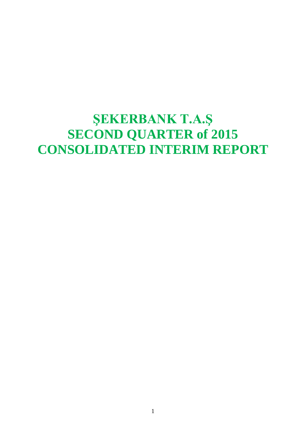## **ŞEKERBANK T.A.Ş SECOND QUARTER of 2015 CONSOLIDATED INTERIM REPORT**